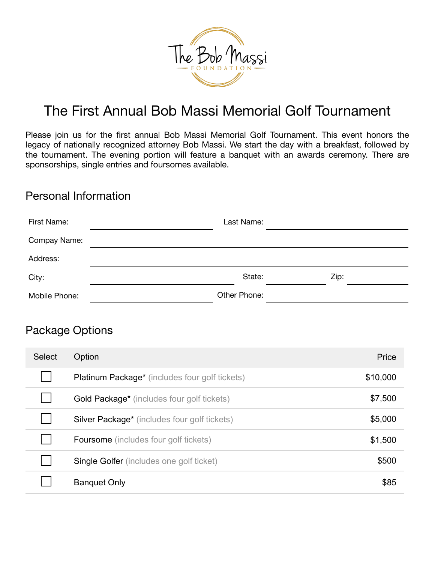

# The First Annual Bob Massi Memorial Golf Tournament

Please join us for the first annual Bob Massi Memorial Golf Tournament. This event honors the legacy of nationally recognized attorney Bob Massi. We start the day with a breakfast, followed by the tournament. The evening portion will feature a banquet with an awards ceremony. There are sponsorships, single entries and foursomes available.

#### Personal Information

| First Name:   | Last Name:   |      |  |
|---------------|--------------|------|--|
| Compay Name:  |              |      |  |
| Address:      |              |      |  |
| City:         | State:       | Zip: |  |
| Mobile Phone: | Other Phone: |      |  |

#### Package Options

| <b>Select</b> | Option                                          | Price    |
|---------------|-------------------------------------------------|----------|
|               | Platinum Package* (includes four golf tickets)  | \$10,000 |
|               | Gold Package* (includes four golf tickets)      | \$7,500  |
|               | Silver Package* (includes four golf tickets)    | \$5,000  |
|               | <b>Foursome</b> (includes four golf tickets)    | \$1,500  |
|               | <b>Single Golfer</b> (includes one golf ticket) | \$500    |
|               | <b>Banquet Only</b>                             | \$85     |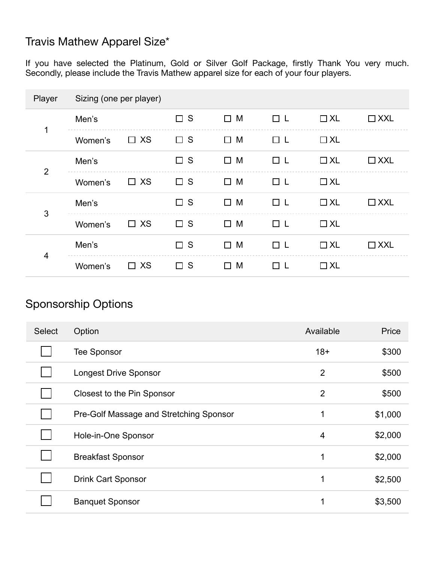### Travis Mathew Apparel Size\*

If you have selected the Platinum, Gold or Silver Golf Package, firstly Thank You very much. Secondly, please include the Travis Mathew apparel size for each of your four players.

| Player         | Sizing (one per player) |           |             |             |    |           |            |
|----------------|-------------------------|-----------|-------------|-------------|----|-----------|------------|
| 1              | Men's                   |           | $\Box$ S    | $\Box$ M    | □∟ | $\Box$ XL | $\Box$ XXL |
|                | Women's                 | $\Box$ XS | $\square$ s | $\square$ M | □∟ | $\Box$ XL |            |
| $\overline{2}$ | Men's                   |           | S<br>$\Box$ | M<br>$\Box$ | □└ | $\Box$ XL | $\Box$ XXL |
|                | Women's                 | $\Box$ XS | $\square$ s | $\Box$ M    | □└ | $\Box$ XL |            |
| 3              | Men's                   |           | $\Box$ S    | $\square$ M | □∟ | $\Box$ XL | $\Box$ XXL |
|                | Women's                 | $\Box$ XS | $\Box$ S    | M<br>□      | □∟ | $\Box$ XL |            |
| 4              | Men's                   |           | $\square$ s | $\Box$ M    | □∟ | $\Box$ XL | $\Box$ XXL |
|                | Women's                 | $\Box$ XS | $\Box$ S    | M<br>$\Box$ |    | $\Box$ XL |            |

## Sponsorship Options

| <b>Select</b> | Option                                  | Available      | Price   |
|---------------|-----------------------------------------|----------------|---------|
|               | <b>Tee Sponsor</b>                      | $18+$          | \$300   |
|               | <b>Longest Drive Sponsor</b>            | $\overline{2}$ | \$500   |
|               | Closest to the Pin Sponsor              | $\overline{2}$ | \$500   |
|               | Pre-Golf Massage and Stretching Sponsor | 1              | \$1,000 |
|               | Hole-in-One Sponsor                     | $\overline{4}$ | \$2,000 |
|               | <b>Breakfast Sponsor</b>                | 1              | \$2,000 |
|               | <b>Drink Cart Sponsor</b>               | 1              | \$2,500 |
|               | <b>Banquet Sponsor</b>                  | 1              | \$3,500 |